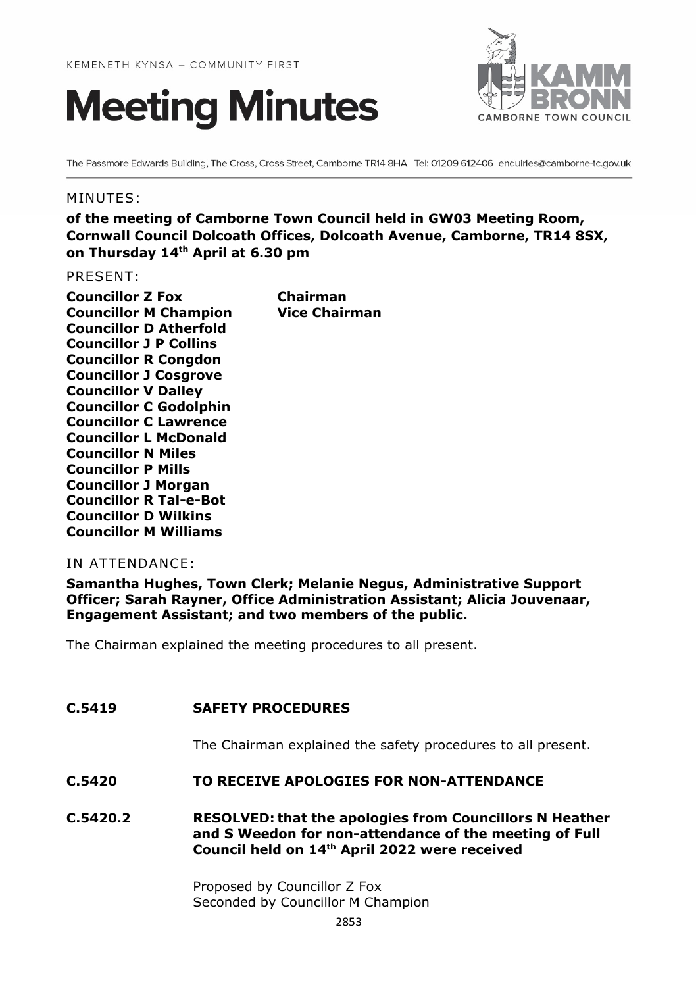



The Passmore Edwards Building, The Cross, Cross Street, Camborne TR14 8HA Tel: 01209 612406 enquiries@camborne-tc.gov.uk

### MINUTES:

**of the meeting of Camborne Town Council held in GW03 Meeting Room, Cornwall Council Dolcoath Offices, Dolcoath Avenue, Camborne, TR14 8SX, on Thursday 14th April at 6.30 pm**

PRESENT:

| <b>Councillor Z Fox</b>       | Chairman             |
|-------------------------------|----------------------|
| <b>Councillor M Champion</b>  | <b>Vice Chairman</b> |
| <b>Councillor D Atherfold</b> |                      |
| <b>Councillor J P Collins</b> |                      |
| <b>Councillor R Congdon</b>   |                      |
| <b>Councillor J Cosgrove</b>  |                      |
| <b>Councillor V Dalley</b>    |                      |
| <b>Councillor C Godolphin</b> |                      |
| <b>Councillor C Lawrence</b>  |                      |
| <b>Councillor L McDonald</b>  |                      |
| <b>Councillor N Miles</b>     |                      |
| <b>Councillor P Mills</b>     |                      |
| <b>Councillor J Morgan</b>    |                      |
| <b>Councillor R Tal-e-Bot</b> |                      |
| <b>Councillor D Wilkins</b>   |                      |
| <b>Councillor M Williams</b>  |                      |

### IN ATTENDANCE:

**Samantha Hughes, Town Clerk; Melanie Negus, Administrative Support Officer; Sarah Rayner, Office Administration Assistant; Alicia Jouvenaar, Engagement Assistant; and two members of the public.**

The Chairman explained the meeting procedures to all present.

## **C.5419 SAFETY PROCEDURES**

The Chairman explained the safety procedures to all present.

### **C.5420 TO RECEIVE APOLOGIES FOR NON-ATTENDANCE**

**C.5420.2 RESOLVED: that the apologies from Councillors N Heather and S Weedon for non-attendance of the meeting of Full Council held on 14th April 2022 were received**

> Proposed by Councillor Z Fox Seconded by Councillor M Champion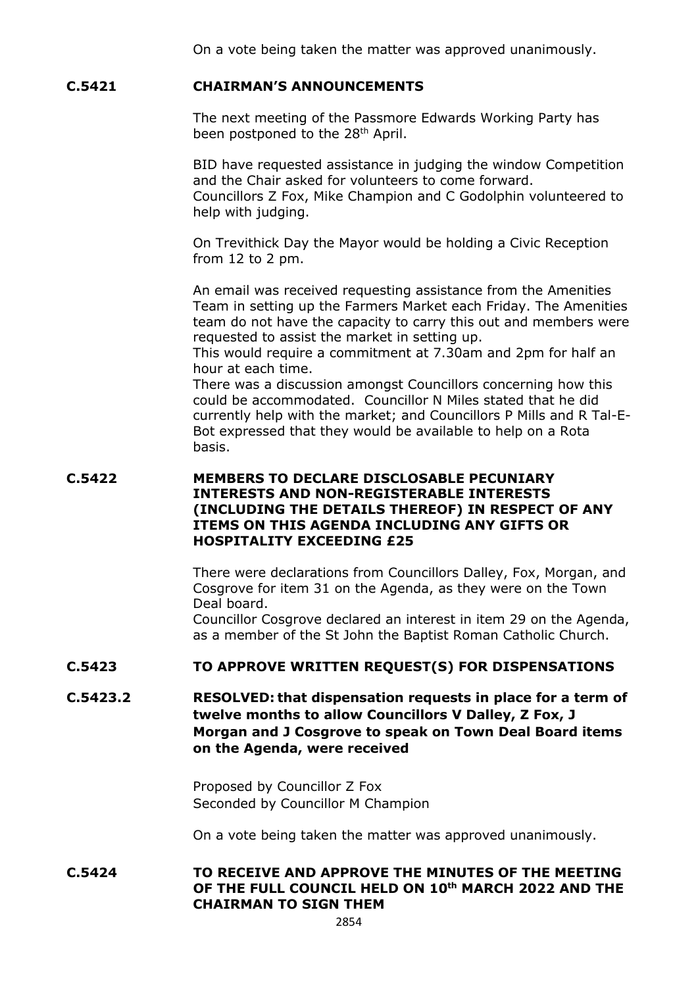### **C.5421 CHAIRMAN'S ANNOUNCEMENTS**

The next meeting of the Passmore Edwards Working Party has been postponed to the 28<sup>th</sup> April.

BID have requested assistance in judging the window Competition and the Chair asked for volunteers to come forward. Councillors Z Fox, Mike Champion and C Godolphin volunteered to help with judging.

On Trevithick Day the Mayor would be holding a Civic Reception from 12 to 2 pm.

An email was received requesting assistance from the Amenities Team in setting up the Farmers Market each Friday. The Amenities team do not have the capacity to carry this out and members were requested to assist the market in setting up.

This would require a commitment at 7.30am and 2pm for half an hour at each time.

There was a discussion amongst Councillors concerning how this could be accommodated. Councillor N Miles stated that he did currently help with the market; and Councillors P Mills and R Tal-E-Bot expressed that they would be available to help on a Rota basis.

## **C.5422 MEMBERS TO DECLARE DISCLOSABLE PECUNIARY INTERESTS AND NON-REGISTERABLE INTERESTS (INCLUDING THE DETAILS THEREOF) IN RESPECT OF ANY ITEMS ON THIS AGENDA INCLUDING ANY GIFTS OR HOSPITALITY EXCEEDING £25**

There were declarations from Councillors Dalley, Fox, Morgan, and Cosgrove for item 31 on the Agenda, as they were on the Town Deal board.

Councillor Cosgrove declared an interest in item 29 on the Agenda, as a member of the St John the Baptist Roman Catholic Church.

### **C.5423 TO APPROVE WRITTEN REQUEST(S) FOR DISPENSATIONS**

**C.5423.2 RESOLVED: that dispensation requests in place for a term of twelve months to allow Councillors V Dalley, Z Fox, J Morgan and J Cosgrove to speak on Town Deal Board items on the Agenda, were received**

> Proposed by Councillor Z Fox Seconded by Councillor M Champion

On a vote being taken the matter was approved unanimously.

### **C.5424 TO RECEIVE AND APPROVE THE MINUTES OF THE MEETING OF THE FULL COUNCIL HELD ON 10th MARCH 2022 AND THE CHAIRMAN TO SIGN THEM**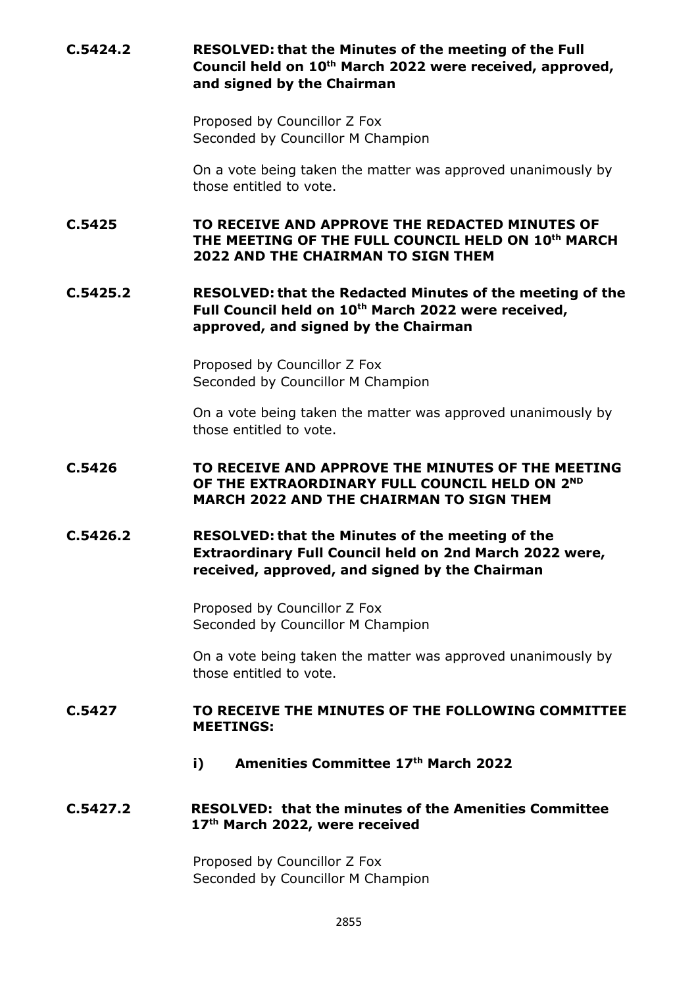# **C.5424.2 RESOLVED: that the Minutes of the meeting of the Full Council held on 10th March 2022 were received, approved, and signed by the Chairman**

Proposed by Councillor Z Fox Seconded by Councillor M Champion

On a vote being taken the matter was approved unanimously by those entitled to vote.

**C.5425 TO RECEIVE AND APPROVE THE REDACTED MINUTES OF THE MEETING OF THE FULL COUNCIL HELD ON 10th MARCH 2022 AND THE CHAIRMAN TO SIGN THEM**

# **C.5425.2 RESOLVED: that the Redacted Minutes of the meeting of the**  Full Council held on 10<sup>th</sup> March 2022 were received, **approved, and signed by the Chairman**

Proposed by Councillor Z Fox Seconded by Councillor M Champion

On a vote being taken the matter was approved unanimously by those entitled to vote.

### **C.5426 TO RECEIVE AND APPROVE THE MINUTES OF THE MEETING OF THE EXTRAORDINARY FULL COUNCIL HELD ON 2ND MARCH 2022 AND THE CHAIRMAN TO SIGN THEM**

# **C.5426.2 RESOLVED: that the Minutes of the meeting of the Extraordinary Full Council held on 2nd March 2022 were, received, approved, and signed by the Chairman**

Proposed by Councillor Z Fox Seconded by Councillor M Champion

On a vote being taken the matter was approved unanimously by those entitled to vote.

## **C.5427 TO RECEIVE THE MINUTES OF THE FOLLOWING COMMITTEE MEETINGS:**

**i) Amenities Committee 17th March 2022**

## **C.5427.2 RESOLVED: that the minutes of the Amenities Committee 17th March 2022, were received**

Proposed by Councillor Z Fox Seconded by Councillor M Champion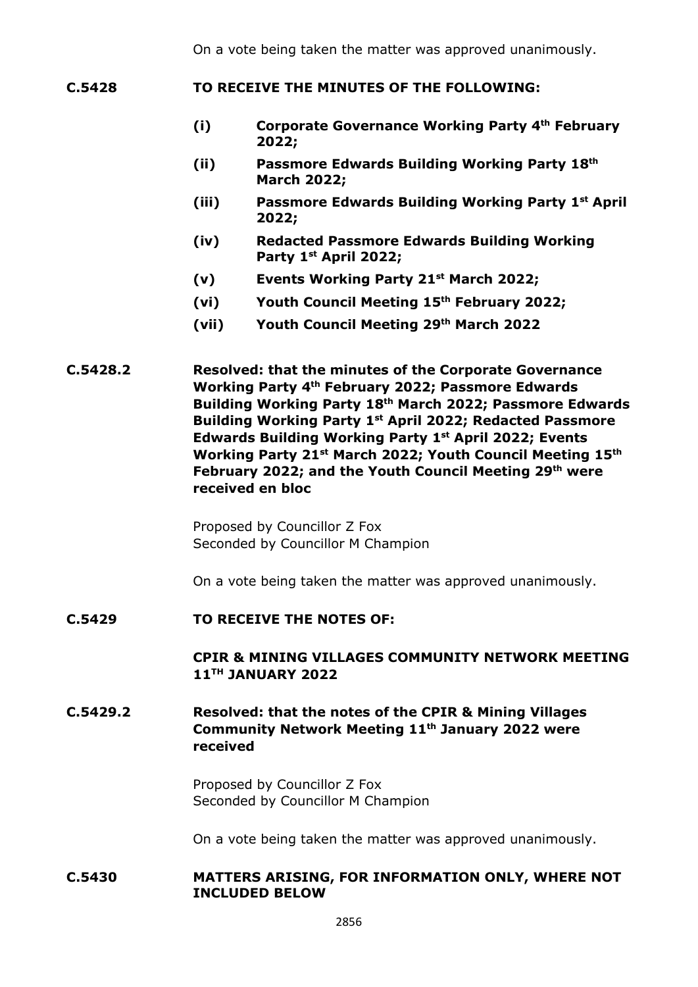- **C.5428 TO RECEIVE THE MINUTES OF THE FOLLOWING:**
	- **(i) Corporate Governance Working Party 4th February 2022;**
	- **(ii) Passmore Edwards Building Working Party 18th March 2022;**
	- **(iii) Passmore Edwards Building Working Party 1st April 2022;**
	- **(iv) Redacted Passmore Edwards Building Working Party 1st April 2022;**
	- **(v) Events Working Party 21st March 2022;**
	- **(vi) Youth Council Meeting 15th February 2022;**
	- **(vii) Youth Council Meeting 29th March 2022**

**C.5428.2 Resolved: that the minutes of the Corporate Governance Working Party 4th February 2022; Passmore Edwards Building Working Party 18th March 2022; Passmore Edwards Building Working Party 1st April 2022; Redacted Passmore Edwards Building Working Party 1st April 2022; Events Working Party 21st March 2022; Youth Council Meeting 15th February 2022; and the Youth Council Meeting 29th were received en bloc**

> Proposed by Councillor Z Fox Seconded by Councillor M Champion

On a vote being taken the matter was approved unanimously.

#### **C.5429 TO RECEIVE THE NOTES OF:**

## **CPIR & MINING VILLAGES COMMUNITY NETWORK MEETING 11TH JANUARY 2022**

# **C.5429.2 Resolved: that the notes of the CPIR & Mining Villages Community Network Meeting 11th January 2022 were received**

Proposed by Councillor Z Fox Seconded by Councillor M Champion

On a vote being taken the matter was approved unanimously.

#### **C.5430 MATTERS ARISING, FOR INFORMATION ONLY, WHERE NOT INCLUDED BELOW**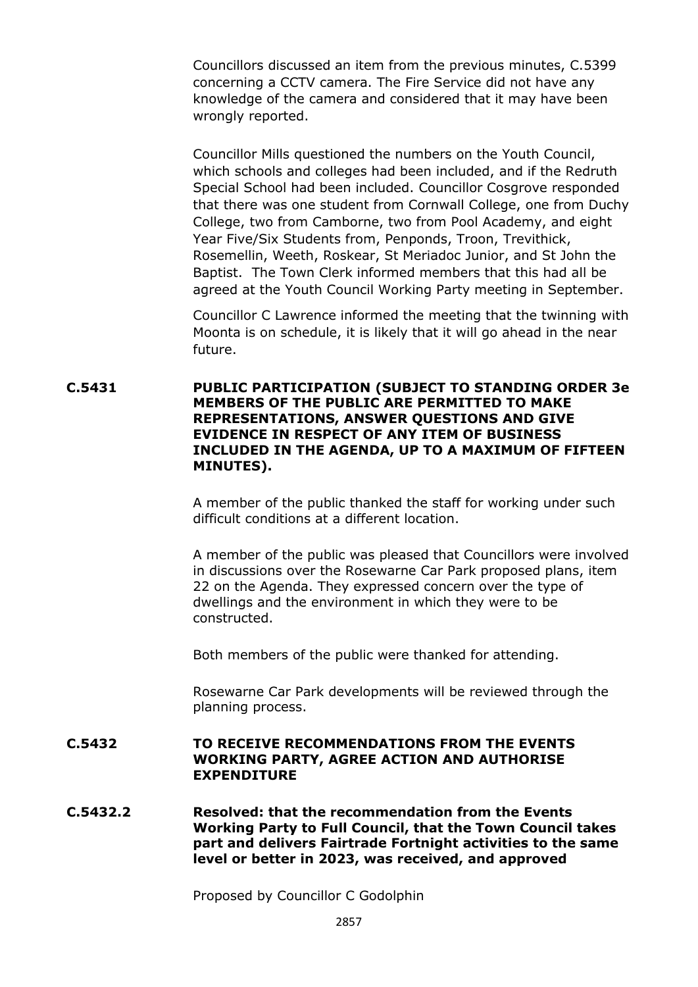Councillors discussed an item from the previous minutes, C.5399 concerning a CCTV camera. The Fire Service did not have any knowledge of the camera and considered that it may have been wrongly reported.

Councillor Mills questioned the numbers on the Youth Council, which schools and colleges had been included, and if the Redruth Special School had been included. Councillor Cosgrove responded that there was one student from Cornwall College, one from Duchy College, two from Camborne, two from Pool Academy, and eight Year Five/Six Students from, Penponds, Troon, Trevithick, Rosemellin, Weeth, Roskear, St Meriadoc Junior, and St John the Baptist. The Town Clerk informed members that this had all be agreed at the Youth Council Working Party meeting in September.

Councillor C Lawrence informed the meeting that the twinning with Moonta is on schedule, it is likely that it will go ahead in the near future.

**C.5431 PUBLIC PARTICIPATION (SUBJECT TO STANDING ORDER 3e MEMBERS OF THE PUBLIC ARE PERMITTED TO MAKE REPRESENTATIONS, ANSWER QUESTIONS AND GIVE EVIDENCE IN RESPECT OF ANY ITEM OF BUSINESS INCLUDED IN THE AGENDA, UP TO A MAXIMUM OF FIFTEEN MINUTES).**

> A member of the public thanked the staff for working under such difficult conditions at a different location.

A member of the public was pleased that Councillors were involved in discussions over the Rosewarne Car Park proposed plans, item 22 on the Agenda. They expressed concern over the type of dwellings and the environment in which they were to be constructed.

Both members of the public were thanked for attending.

Rosewarne Car Park developments will be reviewed through the planning process.

### **C.5432 TO RECEIVE RECOMMENDATIONS FROM THE EVENTS WORKING PARTY, AGREE ACTION AND AUTHORISE EXPENDITURE**

**C.5432.2 Resolved: that the recommendation from the Events Working Party to Full Council, that the Town Council takes part and delivers Fairtrade Fortnight activities to the same level or better in 2023, was received, and approved**

Proposed by Councillor C Godolphin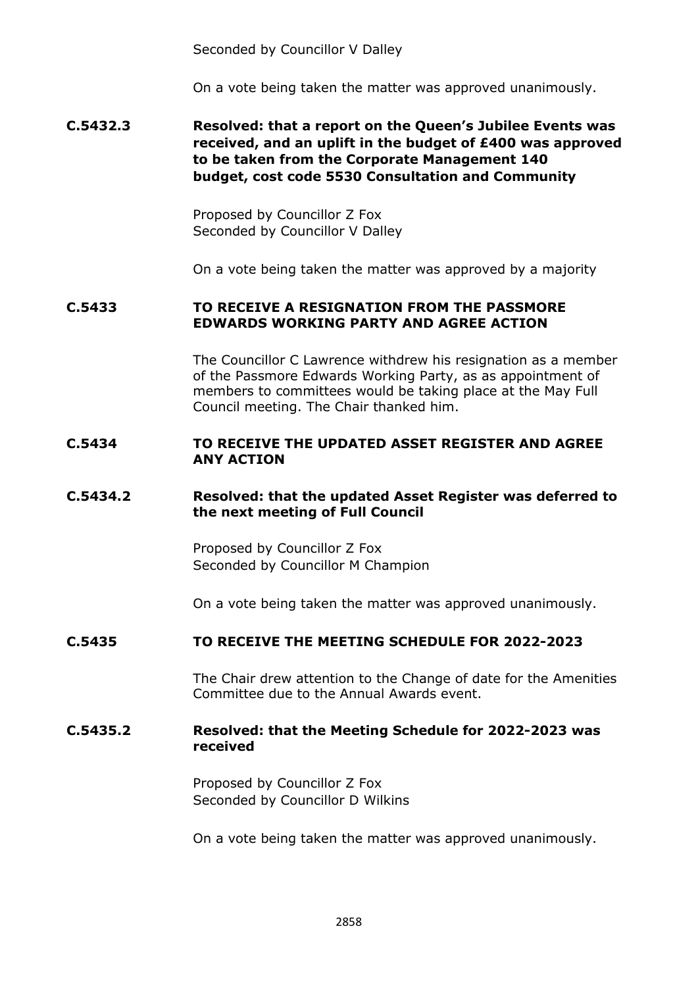Seconded by Councillor V Dalley

On a vote being taken the matter was approved unanimously.

## **C.5432.3 Resolved: that a report on the Queen's Jubilee Events was received, and an uplift in the budget of £400 was approved to be taken from the Corporate Management 140 budget, cost code 5530 Consultation and Community**

Proposed by Councillor Z Fox Seconded by Councillor V Dalley

On a vote being taken the matter was approved by a majority

## **C.5433 TO RECEIVE A RESIGNATION FROM THE PASSMORE EDWARDS WORKING PARTY AND AGREE ACTION**

The Councillor C Lawrence withdrew his resignation as a member of the Passmore Edwards Working Party, as as appointment of members to committees would be taking place at the May Full Council meeting. The Chair thanked him.

### **C.5434 TO RECEIVE THE UPDATED ASSET REGISTER AND AGREE ANY ACTION**

### **C.5434.2 Resolved: that the updated Asset Register was deferred to the next meeting of Full Council**

Proposed by Councillor Z Fox Seconded by Councillor M Champion

On a vote being taken the matter was approved unanimously.

### **C.5435 TO RECEIVE THE MEETING SCHEDULE FOR 2022-2023**

The Chair drew attention to the Change of date for the Amenities Committee due to the Annual Awards event.

### **C.5435.2 Resolved: that the Meeting Schedule for 2022-2023 was received**

Proposed by Councillor Z Fox Seconded by Councillor D Wilkins

On a vote being taken the matter was approved unanimously.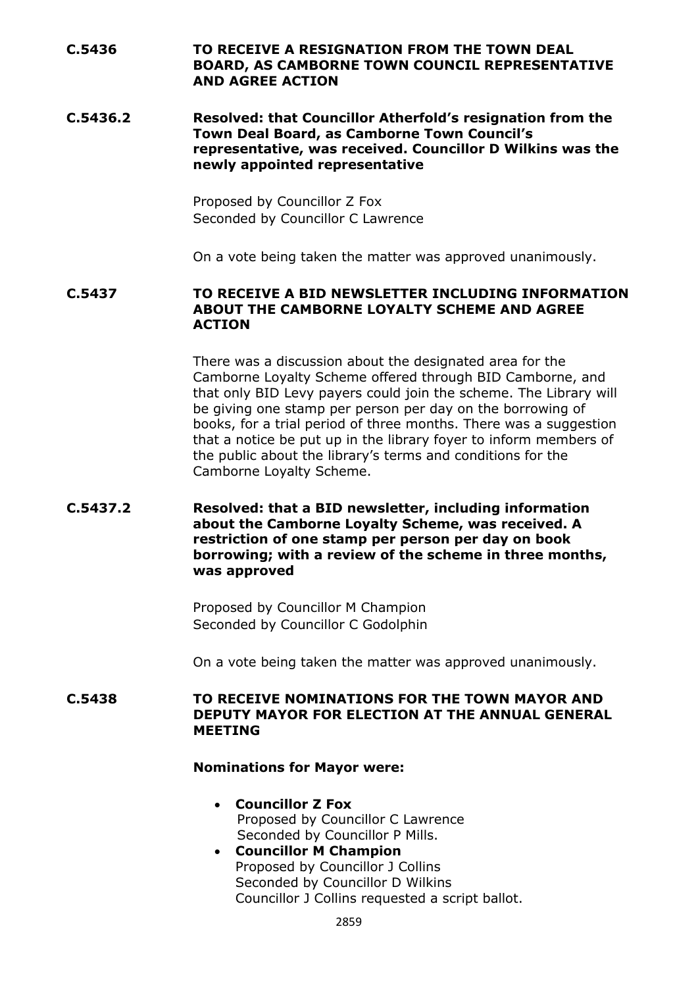## **C.5436 TO RECEIVE A RESIGNATION FROM THE TOWN DEAL BOARD, AS CAMBORNE TOWN COUNCIL REPRESENTATIVE AND AGREE ACTION**

**C.5436.2 Resolved: that Councillor Atherfold's resignation from the Town Deal Board, as Camborne Town Council's representative, was received. Councillor D Wilkins was the newly appointed representative**

> Proposed by Councillor Z Fox Seconded by Councillor C Lawrence

On a vote being taken the matter was approved unanimously.

### **C.5437 TO RECEIVE A BID NEWSLETTER INCLUDING INFORMATION ABOUT THE CAMBORNE LOYALTY SCHEME AND AGREE ACTION**

There was a discussion about the designated area for the Camborne Loyalty Scheme offered through BID Camborne, and that only BID Levy payers could join the scheme. The Library will be giving one stamp per person per day on the borrowing of books, for a trial period of three months. There was a suggestion that a notice be put up in the library foyer to inform members of the public about the library's terms and conditions for the Camborne Loyalty Scheme.

## **C.5437.2 Resolved: that a BID newsletter, including information about the Camborne Loyalty Scheme, was received. A restriction of one stamp per person per day on book borrowing; with a review of the scheme in three months, was approved**

Proposed by Councillor M Champion Seconded by Councillor C Godolphin

On a vote being taken the matter was approved unanimously.

### **C.5438 TO RECEIVE NOMINATIONS FOR THE TOWN MAYOR AND DEPUTY MAYOR FOR ELECTION AT THE ANNUAL GENERAL MEETING**

#### **Nominations for Mayor were:**

- **Councillor Z Fox** Proposed by Councillor C Lawrence Seconded by Councillor P Mills.
- **Councillor M Champion** Proposed by Councillor J Collins Seconded by Councillor D Wilkins Councillor J Collins requested a script ballot.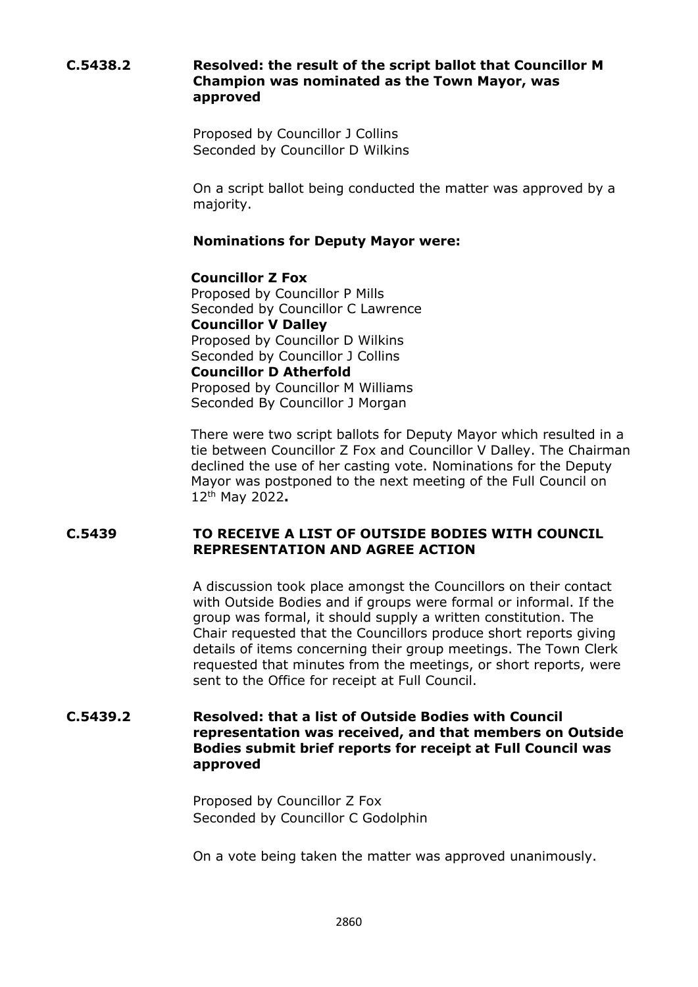## **C.5438.2 Resolved: the result of the script ballot that Councillor M Champion was nominated as the Town Mayor, was approved**

Proposed by Councillor J Collins Seconded by Councillor D Wilkins

On a script ballot being conducted the matter was approved by a majority.

## **Nominations for Deputy Mayor were:**

### **Councillor Z Fox** Proposed by Councillor P Mills Seconded by Councillor C Lawrence **Councillor V Dalley** Proposed by Councillor D Wilkins Seconded by Councillor J Collins **Councillor D Atherfold** Proposed by Councillor M Williams Seconded By Councillor J Morgan

There were two script ballots for Deputy Mayor which resulted in a tie between Councillor Z Fox and Councillor V Dalley. The Chairman declined the use of her casting vote. Nominations for the Deputy Mayor was postponed to the next meeting of the Full Council on 12th May 2022**.**

### **C.5439 TO RECEIVE A LIST OF OUTSIDE BODIES WITH COUNCIL REPRESENTATION AND AGREE ACTION**

A discussion took place amongst the Councillors on their contact with Outside Bodies and if groups were formal or informal. If the group was formal, it should supply a written constitution. The Chair requested that the Councillors produce short reports giving details of items concerning their group meetings. The Town Clerk requested that minutes from the meetings, or short reports, were sent to the Office for receipt at Full Council.

## **C.5439.2 Resolved: that a list of Outside Bodies with Council representation was received, and that members on Outside Bodies submit brief reports for receipt at Full Council was approved**

Proposed by Councillor Z Fox Seconded by Councillor C Godolphin

On a vote being taken the matter was approved unanimously.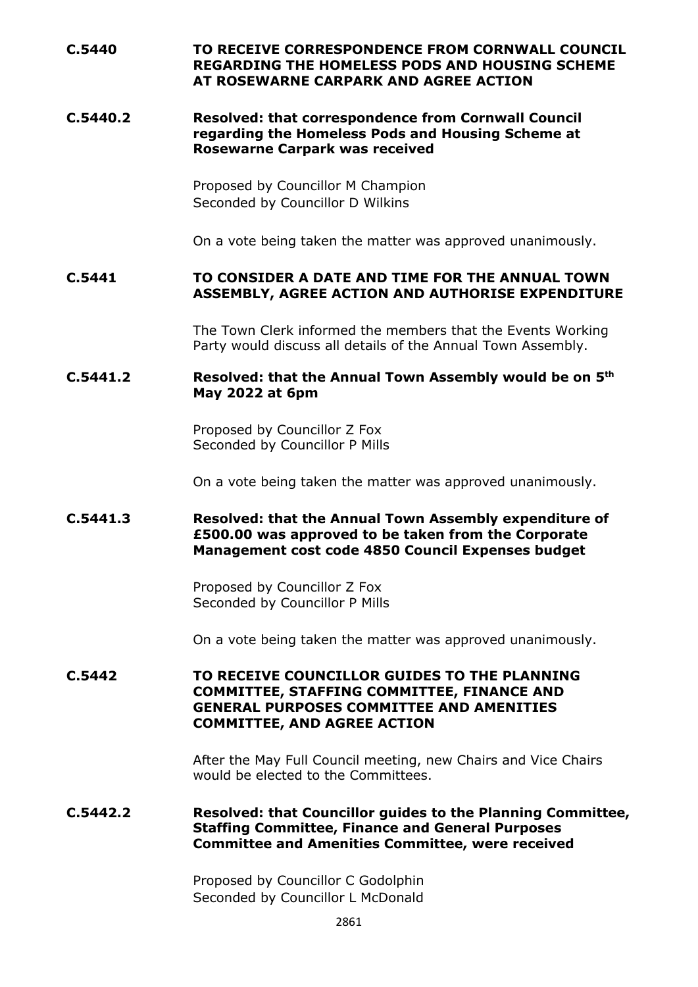## **C.5440 TO RECEIVE CORRESPONDENCE FROM CORNWALL COUNCIL REGARDING THE HOMELESS PODS AND HOUSING SCHEME AT ROSEWARNE CARPARK AND AGREE ACTION**

### **C.5440.2 Resolved: that correspondence from Cornwall Council regarding the Homeless Pods and Housing Scheme at Rosewarne Carpark was received**

Proposed by Councillor M Champion Seconded by Councillor D Wilkins

On a vote being taken the matter was approved unanimously.

### **C.5441 TO CONSIDER A DATE AND TIME FOR THE ANNUAL TOWN ASSEMBLY, AGREE ACTION AND AUTHORISE EXPENDITURE**

The Town Clerk informed the members that the Events Working Party would discuss all details of the Annual Town Assembly.

### **C.5441.2 Resolved: that the Annual Town Assembly would be on 5th May 2022 at 6pm**

Proposed by Councillor Z Fox Seconded by Councillor P Mills

On a vote being taken the matter was approved unanimously.

### **C.5441.3 Resolved: that the Annual Town Assembly expenditure of £500.00 was approved to be taken from the Corporate Management cost code 4850 Council Expenses budget**

Proposed by Councillor Z Fox Seconded by Councillor P Mills

On a vote being taken the matter was approved unanimously.

### **C.5442 TO RECEIVE COUNCILLOR GUIDES TO THE PLANNING COMMITTEE, STAFFING COMMITTEE, FINANCE AND GENERAL PURPOSES COMMITTEE AND AMENITIES COMMITTEE, AND AGREE ACTION**

After the May Full Council meeting, new Chairs and Vice Chairs would be elected to the Committees.

### **C.5442.2 Resolved: that Councillor guides to the Planning Committee, Staffing Committee, Finance and General Purposes Committee and Amenities Committee, were received**

Proposed by Councillor C Godolphin Seconded by Councillor L McDonald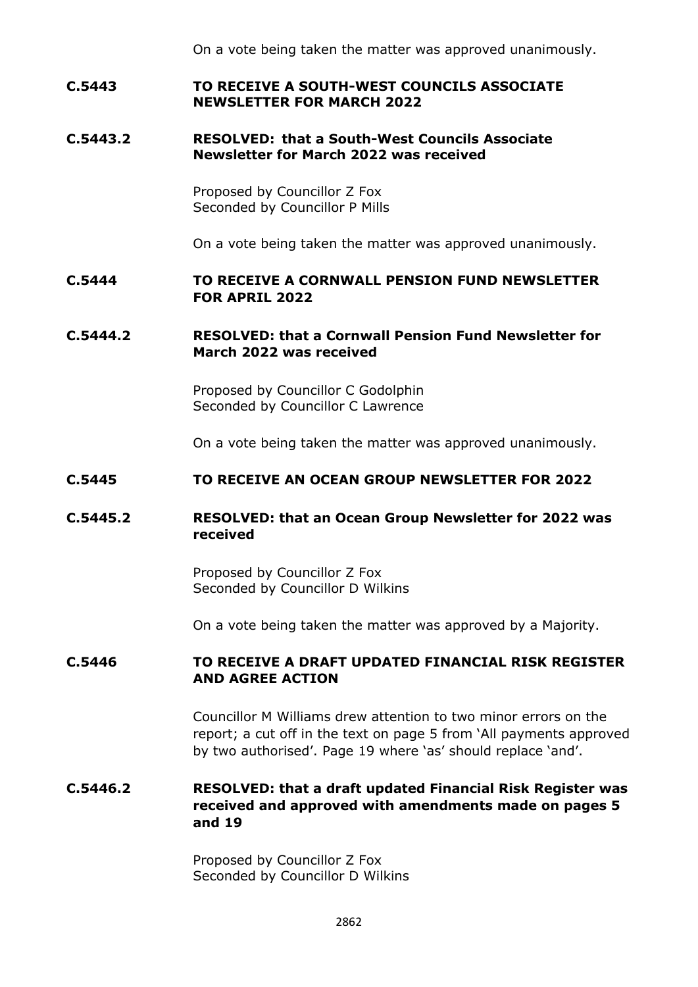### **C.5443 TO RECEIVE A SOUTH-WEST COUNCILS ASSOCIATE NEWSLETTER FOR MARCH 2022**

### **C.5443.2 RESOLVED: that a South-West Councils Associate Newsletter for March 2022 was received**

Proposed by Councillor Z Fox Seconded by Councillor P Mills

On a vote being taken the matter was approved unanimously.

## **C.5444 TO RECEIVE A CORNWALL PENSION FUND NEWSLETTER FOR APRIL 2022**

### **C.5444.2 RESOLVED: that a Cornwall Pension Fund Newsletter for March 2022 was received**

Proposed by Councillor C Godolphin Seconded by Councillor C Lawrence

On a vote being taken the matter was approved unanimously.

### **C.5445 TO RECEIVE AN OCEAN GROUP NEWSLETTER FOR 2022**

## **C.5445.2 RESOLVED: that an Ocean Group Newsletter for 2022 was received**

Proposed by Councillor Z Fox Seconded by Councillor D Wilkins

On a vote being taken the matter was approved by a Majority.

### **C.5446 TO RECEIVE A DRAFT UPDATED FINANCIAL RISK REGISTER AND AGREE ACTION**

Councillor M Williams drew attention to two minor errors on the report; a cut off in the text on page 5 from 'All payments approved by two authorised'. Page 19 where 'as' should replace 'and'.

## **C.5446.2 RESOLVED: that a draft updated Financial Risk Register was received and approved with amendments made on pages 5 and 19**

Proposed by Councillor Z Fox Seconded by Councillor D Wilkins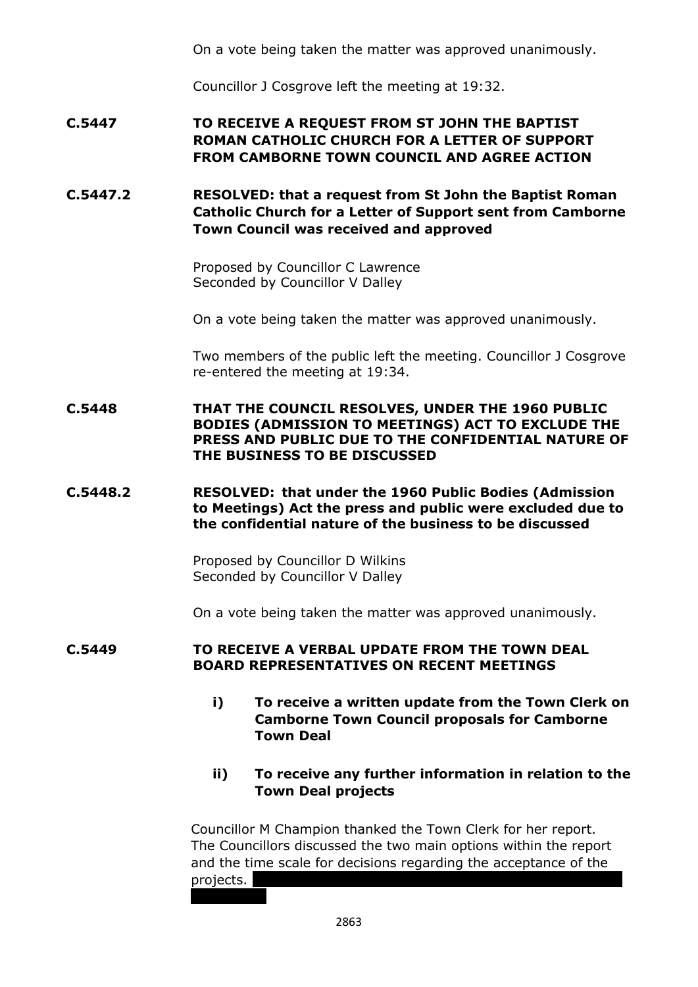Councillor J Cosgrove left the meeting at 19:32.

# **C.5447 TO RECEIVE A REQUEST FROM ST JOHN THE BAPTIST ROMAN CATHOLIC CHURCH FOR A LETTER OF SUPPORT FROM CAMBORNE TOWN COUNCIL AND AGREE ACTION**

**C.5447.2 RESOLVED: that a request from St John the Baptist Roman Catholic Church for a Letter of Support sent from Camborne Town Council was received and approved**

> Proposed by Councillor C Lawrence Seconded by Councillor V Dalley

On a vote being taken the matter was approved unanimously.

Two members of the public left the meeting. Councillor J Cosgrove re-entered the meeting at 19:34.

**C.5448 THAT THE COUNCIL RESOLVES, UNDER THE 1960 PUBLIC BODIES (ADMISSION TO MEETINGS) ACT TO EXCLUDE THE PRESS AND PUBLIC DUE TO THE CONFIDENTIAL NATURE OF THE BUSINESS TO BE DISCUSSED**

**C.5448.2 RESOLVED: that under the 1960 Public Bodies (Admission to Meetings) Act the press and public were excluded due to the confidential nature of the business to be discussed**

> Proposed by Councillor D Wilkins Seconded by Councillor V Dalley

On a vote being taken the matter was approved unanimously.

### **C.5449 TO RECEIVE A VERBAL UPDATE FROM THE TOWN DEAL BOARD REPRESENTATIVES ON RECENT MEETINGS**

**i) To receive a written update from the Town Clerk on Camborne Town Council proposals for Camborne Town Deal**

## **ii) To receive any further information in relation to the Town Deal projects**

Councillor M Champion thanked the Town Clerk for her report. The Councillors discussed the two main options within the report and the time scale for decisions regarding the acceptance of the projects.

2863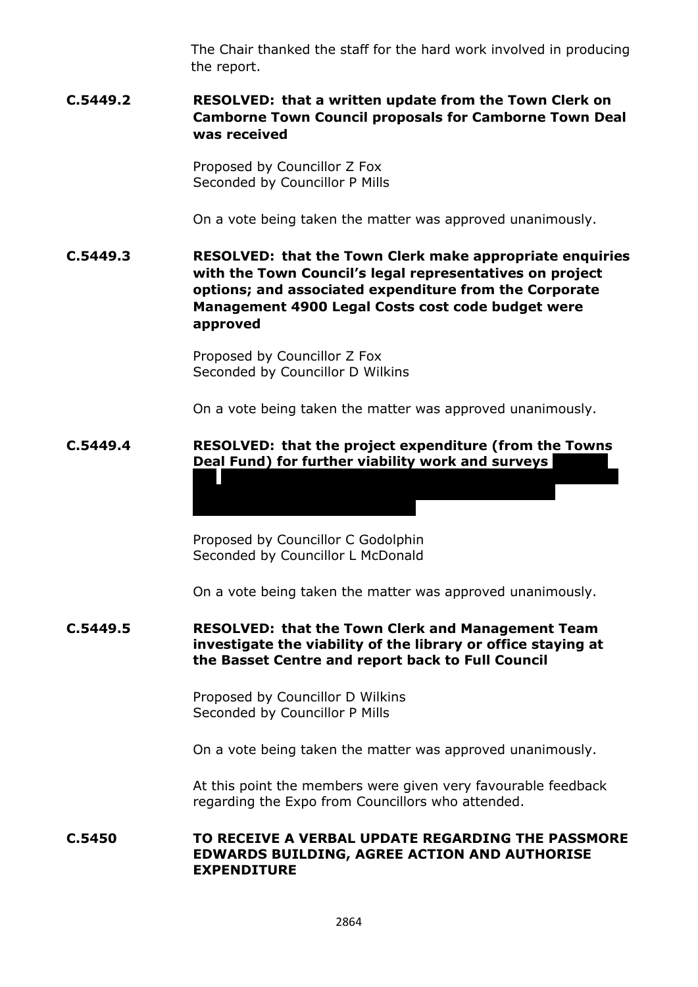The Chair thanked the staff for the hard work involved in producing the report.

## **C.5449.2 RESOLVED: that a written update from the Town Clerk on Camborne Town Council proposals for Camborne Town Deal was received**

Proposed by Councillor Z Fox Seconded by Councillor P Mills

On a vote being taken the matter was approved unanimously.

**C.5449.3 RESOLVED: that the Town Clerk make appropriate enquiries with the Town Council's legal representatives on project options; and associated expenditure from the Corporate Management 4900 Legal Costs cost code budget were approved**

> Proposed by Councillor Z Fox Seconded by Councillor D Wilkins

On a vote being taken the matter was approved unanimously.

**the Basset Centre/White House, Basset Centre and Kerrier** 

**Way was approved, subject to confirmation of the** 

## **C.5449.4 RESOLVED: that the project expenditure (from the Towns Deal Fund) for further viability work and surveys**

Proposed by Councillor C Godolphin Seconded by Councillor L McDonald

On a vote being taken the matter was approved unanimously.

### **C.5449.5 RESOLVED: that the Town Clerk and Management Team investigate the viability of the library or office staying at the Basset Centre and report back to Full Council**

Proposed by Councillor D Wilkins Seconded by Councillor P Mills

On a vote being taken the matter was approved unanimously.

At this point the members were given very favourable feedback regarding the Expo from Councillors who attended.

**C.5450 TO RECEIVE A VERBAL UPDATE REGARDING THE PASSMORE EDWARDS BUILDING, AGREE ACTION AND AUTHORISE EXPENDITURE**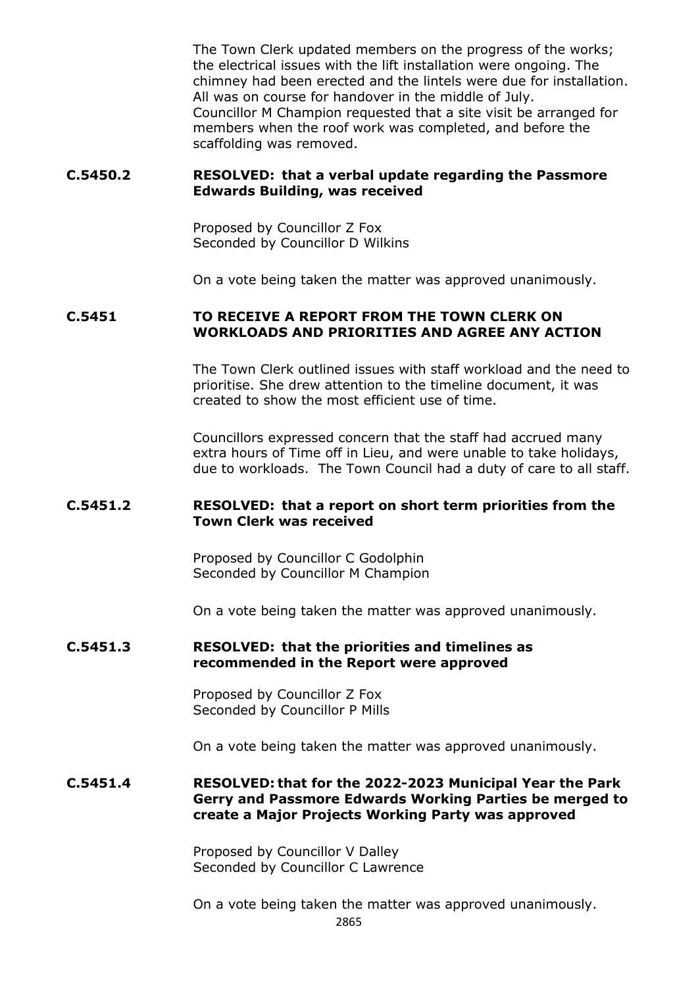The Town Clerk updated members on the progress of the works; the electrical issues with the lift installation were ongoing. The chimney had been erected and the lintels were due for installation. All was on course for handover in the middle of July. Councillor M Champion requested that a site visit be arranged for members when the roof work was completed, and before the scaffolding was removed.

### **C.5450.2 RESOLVED: that a verbal update regarding the Passmore Edwards Building, was received**

Proposed by Councillor Z Fox Seconded by Councillor D Wilkins

On a vote being taken the matter was approved unanimously.

### **C.5451 TO RECEIVE A REPORT FROM THE TOWN CLERK ON WORKLOADS AND PRIORITIES AND AGREE ANY ACTION**

The Town Clerk outlined issues with staff workload and the need to prioritise. She drew attention to the timeline document, it was created to show the most efficient use of time.

Councillors expressed concern that the staff had accrued many extra hours of Time off in Lieu, and were unable to take holidays, due to workloads. The Town Council had a duty of care to all staff.

#### **C.5451.2 RESOLVED: that a report on short term priorities from the Town Clerk was received**

Proposed by Councillor C Godolphin Seconded by Councillor M Champion

On a vote being taken the matter was approved unanimously.

#### **C.5451.3 RESOLVED: that the priorities and timelines as recommended in the Report were approved**

Proposed by Councillor Z Fox Seconded by Councillor P Mills

On a vote being taken the matter was approved unanimously.

### **C.5451.4 RESOLVED: that for the 2022-2023 Municipal Year the Park Gerry and Passmore Edwards Working Parties be merged to create a Major Projects Working Party was approved**

Proposed by Councillor V Dalley Seconded by Councillor C Lawrence

On a vote being taken the matter was approved unanimously.